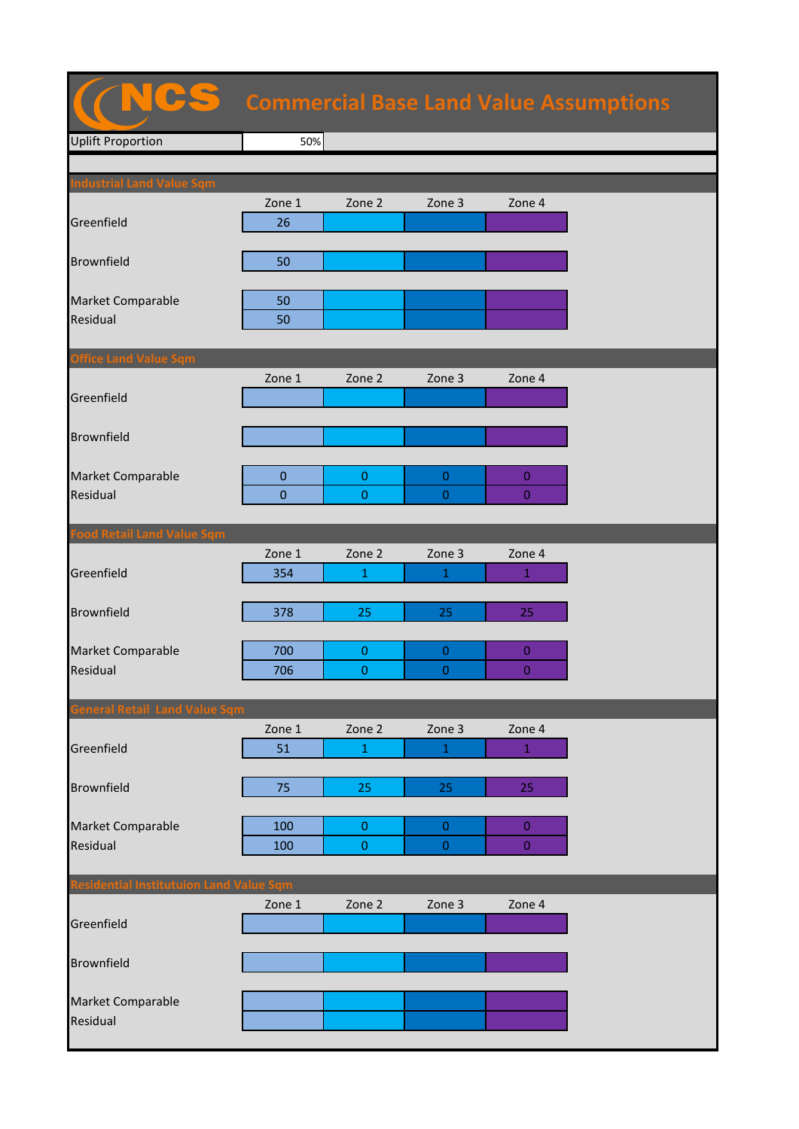## Uplift Proportion **Apartment Plot Value 50%** Zone 1 Zone 2 Zone 3 Zone 4 Greenfield 26 Brownfield 50 Market Comparable **1988** 50 Residual 50 **Office Land Value Sqm** Zone 1 Zone 2 Zone 3 Zone 4 Greenfield Brownfield Market Comparable 0 0 0 0 Residual | 0 | 0 | 0 | 0 Zone 1 Zone 2 Zone 3 Zone 4 Greenfield 354 1 1 1 1 1 **Brownfield 1278 25 25 25 25 25** Market Comparable 700 0 0 0 Residual 1990 | 2006 | <mark>1990 | 1990 | 1990 |</mark> 1990 | 1990 | 1990 | 1990 | 1990 | 1990 | 1990 | 1990 | 1990 | 19 Zone 1 Zone 2 Zone 3 Zone 4 Greenfield 51 1 1 1 Brownfield 75 25 25 25 Market Comparable 100 0 0 0 Residual 100 0 0 0 0 0 Zone 1 Zone 2 Zone 3 Zone 4 Greenfield Brownfield Market Comparable CS **Commercial Base Land Value Assumptions**

Residual